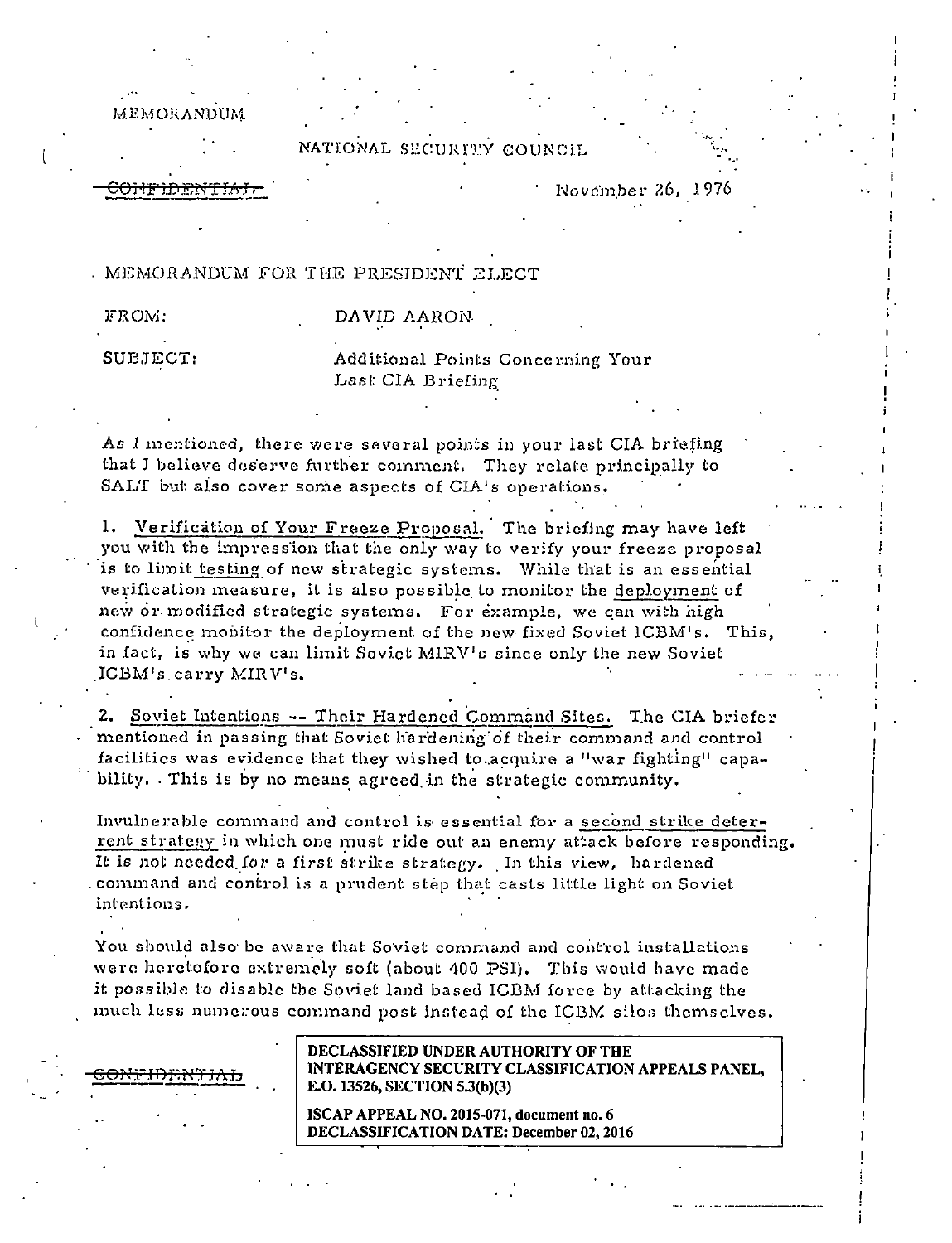**MEMORANDUM** 

NATIONAL SECURITY COUNCIL

November 26, 1976

. MEMORANDUM FOR THE PRESIDENT ELECT

| FROM:    | DAVID AARON                       |
|----------|-----------------------------------|
| SUBJECT: | Additional Points Concerning Your |
|          | Last CIA Reigling                 |

As I mentioned, there were several points in your last CIA briefing that I believe deserve further comment. They relate principally to SALT but also cover some aspects of CIA's operations.

1. Verification of Your Freeze Proposal. The briefing may have left you with the impression that the only way to verify your freeze proposal is to limit testing of new strategic systems. While that is an essential verification measure, it is also possible to monitor the deployment of new or modified strategic systems. For example, we can with high confidence mobitor the deployment of the new fixed Soviet ICBM's. This, in fact, is why we can limit Soviet MIRV's since only the new Soviet ICBM's carry MIRV's.

2. Soviet Intentions -- Their Hardened Command Sites. The CIA briefer mentioned in passing that Soviet hardening of their command and control facilities was evidence that they wished to acquire a "war fighting" capability. This is by no means agreed in the strategic community.

Invulnerable command and control is essential for a second strike deterrent strategy in which one must ride out an enemy attack before responding. It is not needed for a first strike strategy. In this view, hardened command and control is a prudent step that casts little light on Soviet intentions.

You should also be aware that Soviet command and control installations were heretofore extremely soft (about 400 PSI). This would have made it possible to disable the Soviet land based ICBM force by attacking the much less numerous command post instead of the ICBM silos themselves.

DECLASSIFIED UNDER AUTHORITY OF THE INTERAGENCY SECURITY CLASSIFICATION APPEALS PANEL. E.O. 13526, SECTION 5.3(b)(3)

ISCAP APPEAL NO. 2015-071, document no. 6 DECLASSIFICATION DATE: December 02, 2016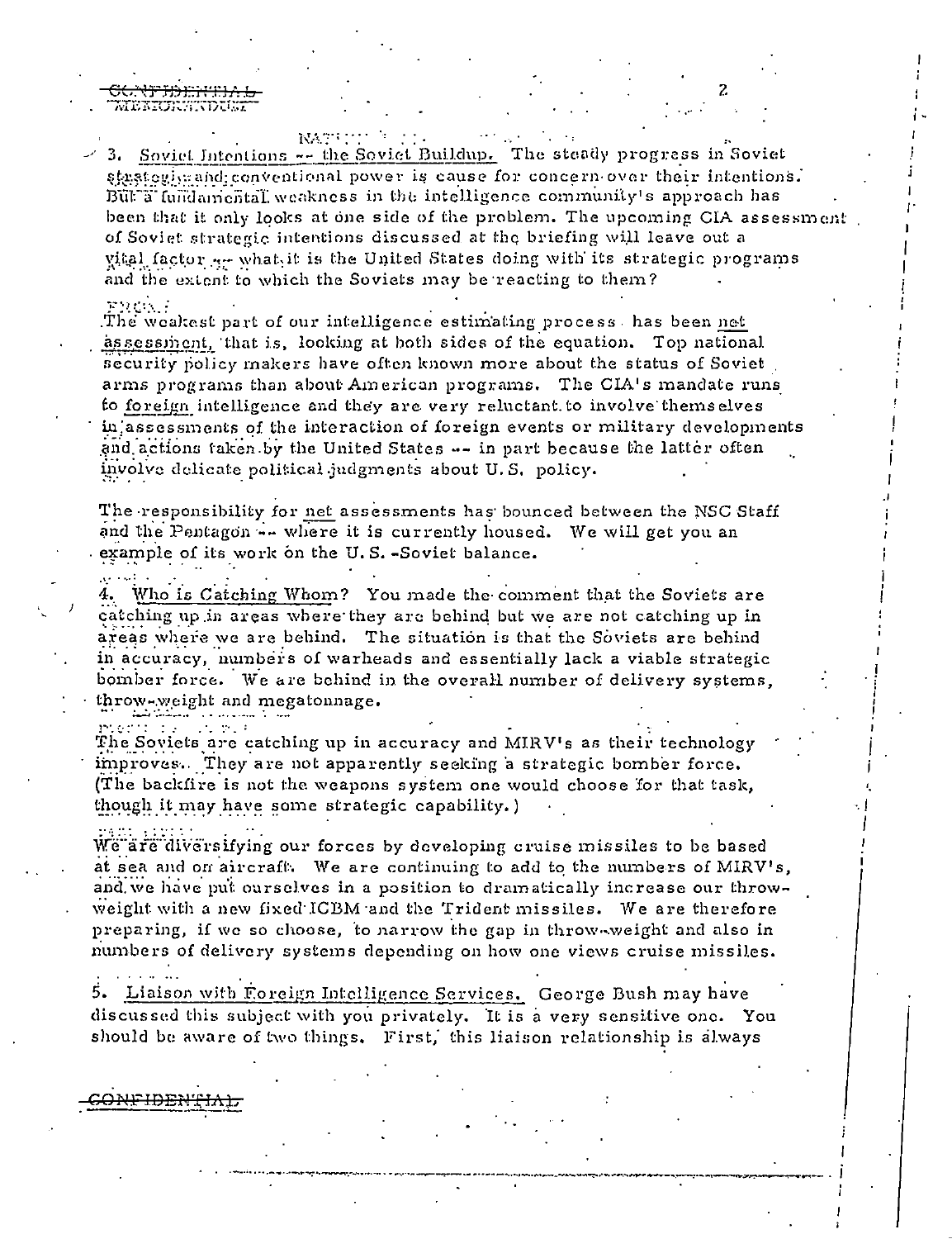WEKKURSTOU.

**NATION**  $\geq$  3. Soviet Intentions  $\sim$  the Soviet Buildup. The steady progress in Soviet stastegives and conventional power is cause for concern over their intentions. But a fundamental weakness in the intelligence community's approach has been that it only looks at one side of the problem. The upcoming CIA assessment of Soviet strategic intentions discussed at the briefing will leave out a vital factor  $x \rightarrow y$  what it is the United States doing with its strategic programs and the extent to which the Soviets may be reacting to them?

## more is a

The weakest part of our intelligence estimating process has been net assessinent, that is, looking at both sides of the equation. Top national security policy makers have often known more about the status of Soviet. arms programs than about American programs. The CIA's mandate runs to foreign intelligence and they are very reluctant to involve themselves in assessments of the interaction of foreign events or military developments and actions taken by the United States -- in part because the latter often involve delicate political judgments about U.S. policy.

The responsibility for net assessments has bounced between the NSC Staff and the Pentagon -- where it is currently housed. We will get you an example of its work on the U.S.-Soviet balance.

Who is Catching Whom? You made the comment that the Soviets are catching up in areas where they are behind but we are not catching up in areas where we are behind. The situation is that the Soviets are behind in accuracy, numbers of warheads and essentially lack a viable strategic bomber force. We are behind in the overall number of delivery systems. throw-weight and megatonnage.

محروم The Soviets are catching up in accuracy and MIRV's as their technology improves. They are not apparently seeking a strategic bomber force. (The backfire is not the weapons system one would choose for that task, though it may have some strategic capability.)

We are diversifying our forces by developing cruise missiles to be based at sea and on aircraft. We are continuing to add to the numbers of MIRV's, and we have put ourselves in a position to dramatically increase our throwweight with a new fixed ICBM and the Trident missiles. We are therefore preparing, if we so choose, to narrow the gap in throw-weight and also in numbers of delivery systems depending on how one views cruise missiles.

5. Liaison with Foreign Intelligence Services. George Bush may have discussed this subject with you privately. It is a very sensitive one. You should be aware of two things. First, this liaison relationship is always

ببصصتحب